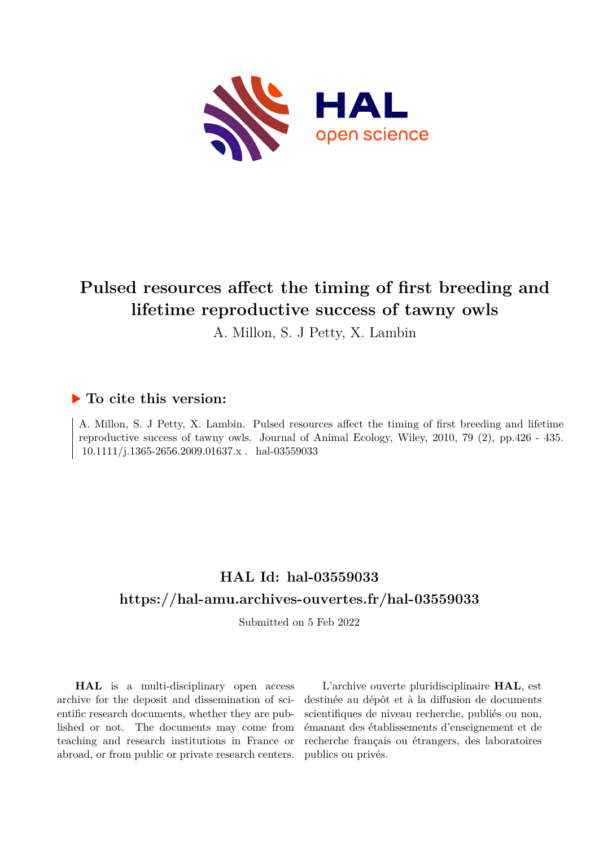

# **Pulsed resources affect the timing of first breeding and lifetime reproductive success of tawny owls**

A. Millon, S. J Petty, X. Lambin

## **To cite this version:**

A. Millon, S. J Petty, X. Lambin. Pulsed resources affect the timing of first breeding and lifetime reproductive success of tawny owls. Journal of Animal Ecology, Wiley, 2010, 79 (2), pp.426 - 435. 10.1111/j.1365-2656.2009.01637.x . hal-03559033

## **HAL Id: hal-03559033 <https://hal-amu.archives-ouvertes.fr/hal-03559033>**

Submitted on 5 Feb 2022

**HAL** is a multi-disciplinary open access archive for the deposit and dissemination of scientific research documents, whether they are published or not. The documents may come from teaching and research institutions in France or abroad, or from public or private research centers.

L'archive ouverte pluridisciplinaire **HAL**, est destinée au dépôt et à la diffusion de documents scientifiques de niveau recherche, publiés ou non, émanant des établissements d'enseignement et de recherche français ou étrangers, des laboratoires publics ou privés.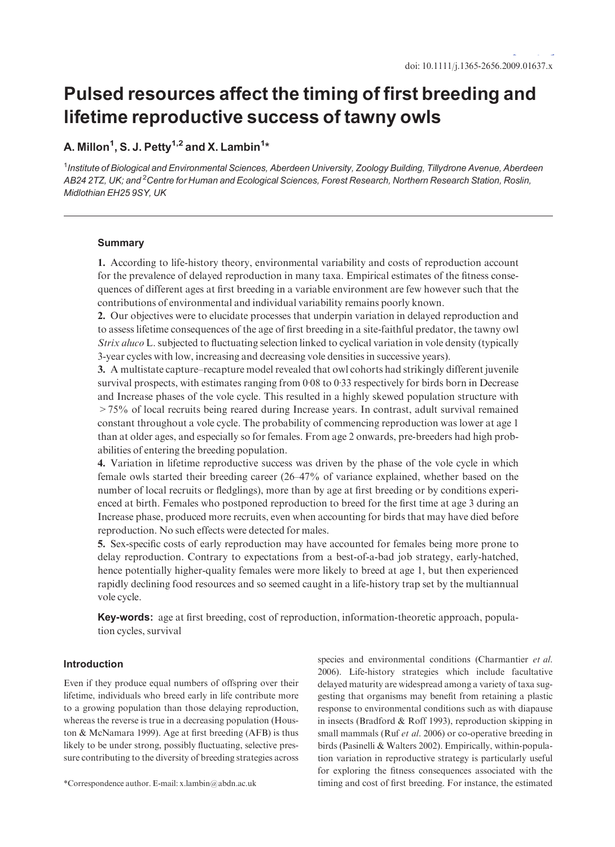# Pulsed resources affect the timing of first breeding and lifetime reproductive success of tawny owls

### A. Millon<sup>1</sup>, S. J. Petty<sup>1,2</sup> and X. Lambin<sup>1</sup>\*

<sup>1</sup>Institute of Biological and Environmental Sciences, Aberdeen University, Zoology Building, Tillydrone Avenue, Aberdeen AB24 2TZ, UK; and <sup>2</sup>Centre for Human and Ecological Sciences, Forest Research, Northern Research Station, Roslin, Midlothian EH25 9SY, UK

#### **Summary**

1. According to life-history theory, environmental variability and costs of reproduction account for the prevalence of delayed reproduction in many taxa. Empirical estimates of the fitness consequences of different ages at first breeding in a variable environment are few however such that the contributions of environmental and individual variability remains poorly known.

2. Our objectives were to elucidate processes that underpin variation in delayed reproduction and to assess lifetime consequences of the age of first breeding in a site-faithful predator, the tawny owl Strix aluco L. subjected to fluctuating selection linked to cyclical variation in vole density (typically 3-year cycles with low, increasing and decreasing vole densities in successive years).

3. A multistate capture–recapture model revealed that owl cohorts had strikingly different juvenile survival prospects, with estimates ranging from  $0.08$  to  $0.33$  respectively for birds born in Decrease and Increase phases of the vole cycle. This resulted in a highly skewed population structure with >75% of local recruits being reared during Increase years. In contrast, adult survival remained constant throughout a vole cycle. The probability of commencing reproduction was lower at age 1 than at older ages, and especially so for females. From age 2 onwards, pre-breeders had high probabilities of entering the breeding population.

4. Variation in lifetime reproductive success was driven by the phase of the vole cycle in which female owls started their breeding career (26–47% of variance explained, whether based on the number of local recruits or fledglings), more than by age at first breeding or by conditions experienced at birth. Females who postponed reproduction to breed for the first time at age 3 during an Increase phase, produced more recruits, even when accounting for birds that may have died before reproduction. No such effects were detected for males.

5. Sex-specific costs of early reproduction may have accounted for females being more prone to delay reproduction. Contrary to expectations from a best-of-a-bad job strategy, early-hatched, hence potentially higher-quality females were more likely to breed at age 1, but then experienced rapidly declining food resources and so seemed caught in a life-history trap set by the multiannual vole cycle.

Key-words: age at first breeding, cost of reproduction, information-theoretic approach, population cycles, survival

#### Introduction

Even if they produce equal numbers of offspring over their lifetime, individuals who breed early in life contribute more to a growing population than those delaying reproduction, whereas the reverse is true in a decreasing population (Houston & McNamara 1999). Age at first breeding (AFB) is thus likely to be under strong, possibly fluctuating, selective pressure contributing to the diversity of breeding strategies across

species and environmental conditions (Charmantier et al. 2006). Life-history strategies which include facultative delayed maturity are widespread among a variety of taxa suggesting that organisms may benefit from retaining a plastic response to environmental conditions such as with diapause in insects (Bradford & Roff 1993), reproduction skipping in small mammals (Ruf et al. 2006) or co-operative breeding in birds (Pasinelli & Walters 2002). Empirically, within-population variation in reproductive strategy is particularly useful for exploring the fitness consequences associated with the \*Correspondence author. E-mail: x.lambin@abdn.ac.uk timing and cost of first breeding. For instance, the estimated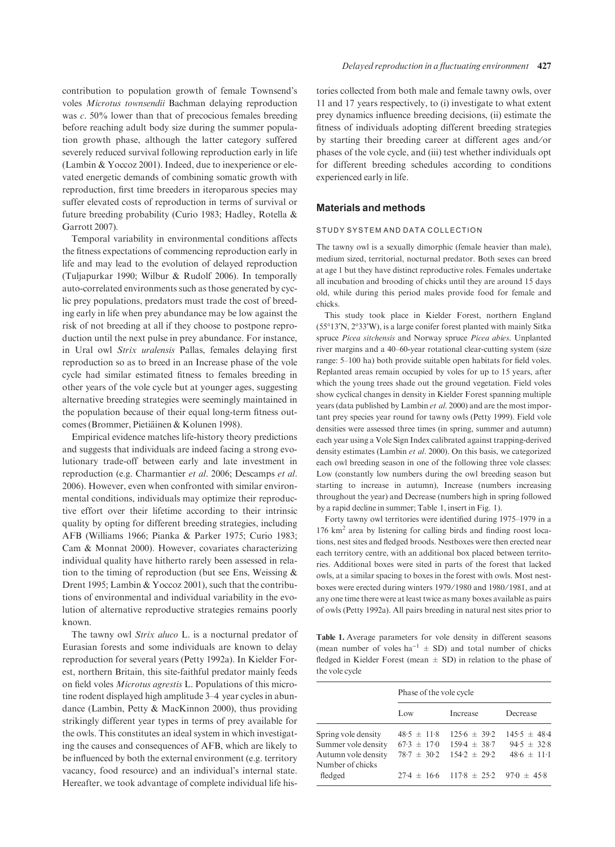contribution to population growth of female Townsend's voles Microtus townsendii Bachman delaying reproduction was  $c. 50\%$  lower than that of precocious females breeding before reaching adult body size during the summer population growth phase, although the latter category suffered severely reduced survival following reproduction early in life (Lambin & Yoccoz 2001). Indeed, due to inexperience or elevated energetic demands of combining somatic growth with reproduction, first time breeders in iteroparous species may suffer elevated costs of reproduction in terms of survival or future breeding probability (Curio 1983; Hadley, Rotella & Garrott 2007).

Temporal variability in environmental conditions affects the fitness expectations of commencing reproduction early in life and may lead to the evolution of delayed reproduction (Tuljapurkar 1990; Wilbur & Rudolf 2006). In temporally auto-correlated environments such as those generated by cyclic prey populations, predators must trade the cost of breeding early in life when prey abundance may be low against the risk of not breeding at all if they choose to postpone reproduction until the next pulse in prey abundance. For instance, in Ural owl Strix uralensis Pallas, females delaying first reproduction so as to breed in an Increase phase of the vole cycle had similar estimated fitness to females breeding in other years of the vole cycle but at younger ages, suggesting alternative breeding strategies were seemingly maintained in the population because of their equal long-term fitness outcomes (Brommer, Pietiäinen & Kolunen 1998).

Empirical evidence matches life-history theory predictions and suggests that individuals are indeed facing a strong evolutionary trade-off between early and late investment in reproduction (e.g. Charmantier et al. 2006; Descamps et al. 2006). However, even when confronted with similar environmental conditions, individuals may optimize their reproductive effort over their lifetime according to their intrinsic quality by opting for different breeding strategies, including AFB (Williams 1966; Pianka & Parker 1975; Curio 1983; Cam & Monnat 2000). However, covariates characterizing individual quality have hitherto rarely been assessed in relation to the timing of reproduction (but see Ens, Weissing & Drent 1995; Lambin & Yoccoz 2001), such that the contributions of environmental and individual variability in the evolution of alternative reproductive strategies remains poorly known.

The tawny owl Strix aluco L. is a nocturnal predator of Eurasian forests and some individuals are known to delay reproduction for several years (Petty 1992a). In Kielder Forest, northern Britain, this site-faithful predator mainly feeds on field voles Microtus agrestis L. Populations of this microtine rodent displayed high amplitude 3–4 year cycles in abundance (Lambin, Petty & MacKinnon 2000), thus providing strikingly different year types in terms of prey available for the owls. This constitutes an ideal system in which investigating the causes and consequences of AFB, which are likely to be influenced by both the external environment (e.g. territory vacancy, food resource) and an individual's internal state. Hereafter, we took advantage of complete individual life histories collected from both male and female tawny owls, over 11 and 17 years respectively, to (i) investigate to what extent prey dynamics influence breeding decisions, (ii) estimate the fitness of individuals adopting different breeding strategies by starting their breeding career at different ages and/or phases of the vole cycle, and (iii) test whether individuals opt for different breeding schedules according to conditions experienced early in life.

#### Materials and methods

#### STUDY SYSTEM AND DATA COLLECTION

The tawny owl is a sexually dimorphic (female heavier than male), medium sized, territorial, nocturnal predator. Both sexes can breed at age 1 but they have distinct reproductive roles. Females undertake all incubation and brooding of chicks until they are around 15 days old, while during this period males provide food for female and chicks.

This study took place in Kielder Forest, northern England  $(55°13'N, 2°33'W)$ , is a large conifer forest planted with mainly Sitka spruce Picea sitchensis and Norway spruce Picea abies. Unplanted river margins and a 40–60-year rotational clear-cutting system (size range: 5–100 ha) both provide suitable open habitats for field voles. Replanted areas remain occupied by voles for up to 15 years, after which the young trees shade out the ground vegetation. Field voles show cyclical changes in density in Kielder Forest spanning multiple years (data published by Lambin et al. 2000) and are the most important prey species year round for tawny owls (Petty 1999). Field vole densities were assessed three times (in spring, summer and autumn) each year using a Vole Sign Index calibrated against trapping-derived density estimates (Lambin et al. 2000). On this basis, we categorized each owl breeding season in one of the following three vole classes: Low (constantly low numbers during the owl breeding season but starting to increase in autumn), Increase (numbers increasing throughout the year) and Decrease (numbers high in spring followed by a rapid decline in summer; Table 1, insert in Fig. 1).

Forty tawny owl territories were identified during 1975–1979 in a 176 km2 area by listening for calling birds and finding roost locations, nest sites and fledged broods. Nestboxes were then erected near each territory centre, with an additional box placed between territories. Additional boxes were sited in parts of the forest that lacked owls, at a similar spacing to boxes in the forest with owls. Most nestboxes were erected during winters 1979/1980 and 1980/1981, and at any one time there were at least twice as many boxes available as pairs of owls (Petty 1992a). All pairs breeding in natural nest sites prior to

Table 1. Average parameters for vole density in different seasons (mean number of voles ha<sup>-1</sup>  $\pm$  SD) and total number of chicks fledged in Kielder Forest (mean  $\pm$  SD) in relation to the phase of the vole cycle

|                     | Phase of the vole cycle |                                  |                  |  |  |
|---------------------|-------------------------|----------------------------------|------------------|--|--|
|                     | Low                     | Increase                         | Decrease         |  |  |
| Spring vole density | $48.5 \pm 11.8$         | $125.6 \pm 39.2$                 | $145.5 \pm 48.4$ |  |  |
| Summer vole density | $67.3 \pm 17.0$         | $159.4 \pm 38.7$                 | $94.5 \pm 32.8$  |  |  |
| Autumn vole density | $78.7 \pm 30.2$         | $154.2 + 29.2$                   | $48.6 \pm 11.1$  |  |  |
| Number of chicks    |                         |                                  |                  |  |  |
| fledged             |                         | $27.4 \pm 16.6$ 117.8 $\pm 25.2$ | $97.0 + 45.8$    |  |  |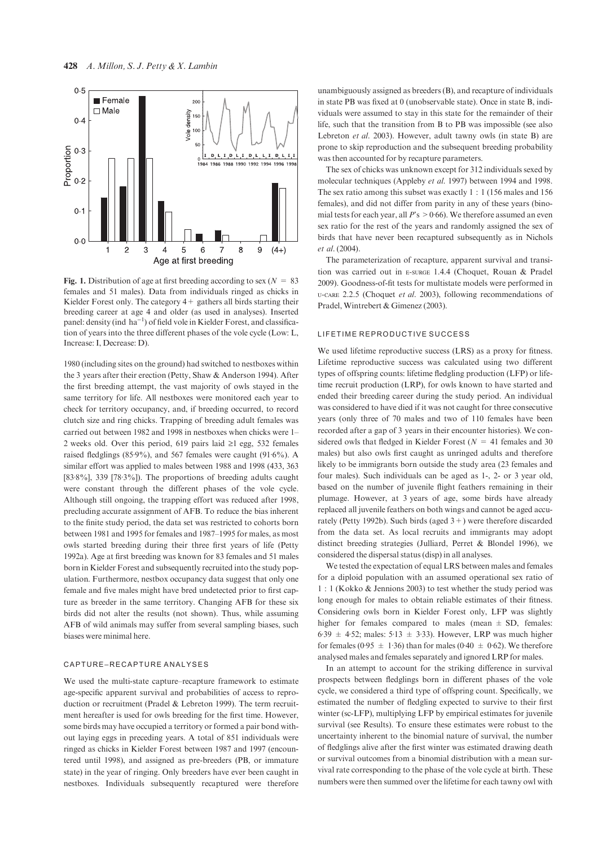

Fig. 1. Distribution of age at first breeding according to sex ( $N = 83$ ) females and 51 males). Data from individuals ringed as chicks in Kielder Forest only. The category  $4+$  gathers all birds starting their breeding career at age 4 and older (as used in analyses). Inserted panel: density (ind  $ha^{-1}$ ) of field vole in Kielder Forest, and classification of years into the three different phases of the vole cycle (Low: L, Increase: I, Decrease: D).

1980 (including sites on the ground) had switched to nestboxes within the 3 years after their erection (Petty, Shaw & Anderson 1994). After the first breeding attempt, the vast majority of owls stayed in the same territory for life. All nestboxes were monitored each year to check for territory occupancy, and, if breeding occurred, to record clutch size and ring chicks. Trapping of breeding adult females was carried out between 1982 and 1998 in nestboxes when chicks were 1– 2 weeks old. Over this period, 619 pairs laid  $\geq 1$  egg, 532 females raised fledglings (85.9%), and 567 females were caught (91.6%). A similar effort was applied to males between 1988 and 1998 (433, 363  $[83.8\%]$ , 339  $[78.3\%]$ . The proportions of breeding adults caught were constant through the different phases of the vole cycle. Although still ongoing, the trapping effort was reduced after 1998, precluding accurate assignment of AFB. To reduce the bias inherent to the finite study period, the data set was restricted to cohorts born between 1981 and 1995 for females and 1987–1995 for males, as most owls started breeding during their three first years of life (Petty 1992a). Age at first breeding was known for 83 females and 51 males born in Kielder Forest and subsequently recruited into the study population. Furthermore, nestbox occupancy data suggest that only one female and five males might have bred undetected prior to first capture as breeder in the same territory. Changing AFB for these six birds did not alter the results (not shown). Thus, while assuming AFB of wild animals may suffer from several sampling biases, such biases were minimal here.

#### CAPTURE–RECAPTURE ANALYSES

We used the multi-state capture–recapture framework to estimate age-specific apparent survival and probabilities of access to reproduction or recruitment (Pradel & Lebreton 1999). The term recruitment hereafter is used for owls breeding for the first time. However, some birds may have occupied a territory or formed a pair bond without laying eggs in preceding years. A total of 851 individuals were ringed as chicks in Kielder Forest between 1987 and 1997 (encountered until 1998), and assigned as pre-breeders (PB, or immature state) in the year of ringing. Only breeders have ever been caught in nestboxes. Individuals subsequently recaptured were therefore unambiguously assigned as breeders (B), and recapture of individuals in state PB was fixed at 0 (unobservable state). Once in state B, individuals were assumed to stay in this state for the remainder of their life, such that the transition from B to PB was impossible (see also Lebreton et al. 2003). However, adult tawny owls (in state B) are prone to skip reproduction and the subsequent breeding probability was then accounted for by recapture parameters.

The sex of chicks was unknown except for 312 individuals sexed by molecular techniques (Appleby et al. 1997) between 1994 and 1998. The sex ratio among this subset was exactly 1 : 1 (156 males and 156 females), and did not differ from parity in any of these years (binomial tests for each year, all  $P$ 's  $> 0.66$ ). We therefore assumed an even sex ratio for the rest of the years and randomly assigned the sex of birds that have never been recaptured subsequently as in Nichols et al. (2004).

The parameterization of recapture, apparent survival and transition was carried out in e-surge 1.4.4 (Choquet, Rouan & Pradel 2009). Goodness-of-fit tests for multistate models were performed in u-care 2.2.5 (Choquet et al. 2003), following recommendations of Pradel, Wintrebert & Gimenez (2003).

#### LIFETIME REPRODUCTIVE SUCCESS

We used lifetime reproductive success (LRS) as a proxy for fitness. Lifetime reproductive success was calculated using two different types of offspring counts: lifetime fledgling production (LFP) or lifetime recruit production (LRP), for owls known to have started and ended their breeding career during the study period. An individual was considered to have died if it was not caught for three consecutive years (only three of 70 males and two of 110 females have been recorded after a gap of 3 years in their encounter histories). We considered owls that fledged in Kielder Forest ( $N = 41$  females and 30 males) but also owls first caught as unringed adults and therefore likely to be immigrants born outside the study area (23 females and four males). Such individuals can be aged as 1-, 2- or 3 year old, based on the number of juvenile flight feathers remaining in their plumage. However, at 3 years of age, some birds have already replaced all juvenile feathers on both wings and cannot be aged accurately (Petty 1992b). Such birds (aged  $3+$ ) were therefore discarded from the data set. As local recruits and immigrants may adopt distinct breeding strategies (Julliard, Perret & Blondel 1996), we considered the dispersal status (disp) in all analyses.

We tested the expectation of equal LRS between males and females for a diploid population with an assumed operational sex ratio of 1 : 1 (Kokko & Jennions 2003) to test whether the study period was long enough for males to obtain reliable estimates of their fitness. Considering owls born in Kielder Forest only, LFP was slightly higher for females compared to males (mean  $\pm$  SD, females: 6.39  $\pm$  4.52; males: 5.13  $\pm$  3.33). However, LRP was much higher for females (0.95  $\pm$  1.36) than for males (0.40  $\pm$  0.62). We therefore analysed males and females separately and ignored LRP for males.

In an attempt to account for the striking difference in survival prospects between fledglings born in different phases of the vole cycle, we considered a third type of offspring count. Specifically, we estimated the number of fledgling expected to survive to their first winter (sc-LFP), multiplying LFP by empirical estimates for juvenile survival (see Results). To ensure these estimates were robust to the uncertainty inherent to the binomial nature of survival, the number of fledglings alive after the first winter was estimated drawing death or survival outcomes from a binomial distribution with a mean survival rate corresponding to the phase of the vole cycle at birth. These numbers were then summed over the lifetime for each tawny owl with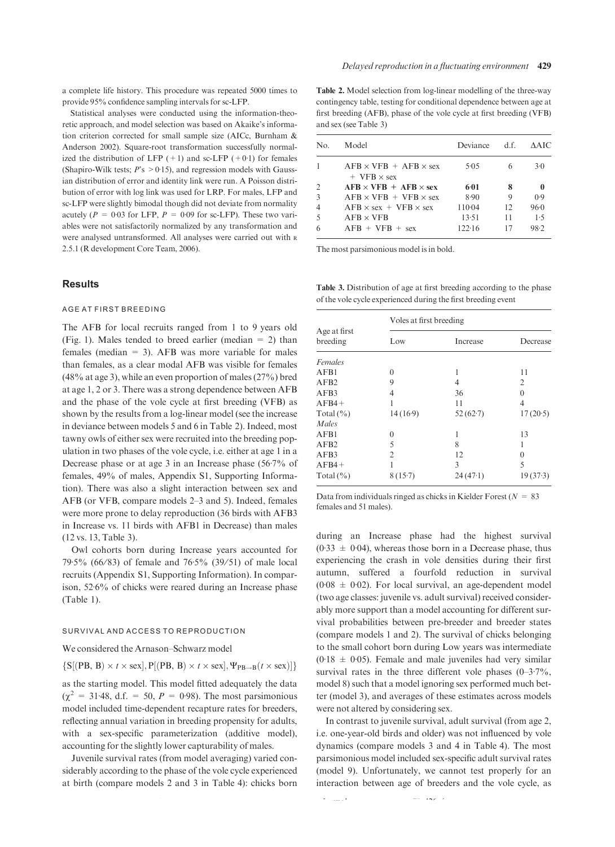a complete life history. This procedure was repeated 5000 times to provide 95% confidence sampling intervals for sc-LFP.

Statistical analyses were conducted using the information-theoretic approach, and model selection was based on Akaike's information criterion corrected for small sample size (AICc, Burnham & Anderson 2002). Square-root transformation successfully normalized the distribution of LFP  $(+1)$  and sc-LFP  $(+0.1)$  for females (Shapiro-Wilk tests;  $P$ 's  $> 0.15$ ), and regression models with Gaussian distribution of error and identity link were run. A Poisson distribution of error with log link was used for LRP. For males, LFP and sc-LFP were slightly bimodal though did not deviate from normality acutely ( $P = 0.03$  for LFP,  $P = 0.09$  for sc-LFP). These two variables were not satisfactorily normalized by any transformation and were analysed untransformed. All analyses were carried out with r 2.5.1 (R development Core Team, 2006).

#### Results

#### AGE AT FIRST BREEDING

The AFB for local recruits ranged from 1 to 9 years old (Fig. 1). Males tended to breed earlier (median  $= 2$ ) than females (median  $= 3$ ). AFB was more variable for males than females, as a clear modal AFB was visible for females (48% at age 3), while an even proportion of males (27%) bred at age 1, 2 or 3. There was a strong dependence between AFB and the phase of the vole cycle at first breeding (VFB) as shown by the results from a log-linear model (see the increase in deviance between models 5 and 6 in Table 2). Indeed, most tawny owls of either sex were recruited into the breeding population in two phases of the vole cycle, i.e. either at age 1 in a Decrease phase or at age  $3$  in an Increase phase (56.7% of females, 49% of males, Appendix S1, Supporting Information). There was also a slight interaction between sex and AFB (or VFB, compare models 2–3 and 5). Indeed, females were more prone to delay reproduction (36 birds with AFB3 in Increase vs. 11 birds with AFB1 in Decrease) than males (12 vs. 13, Table 3).

Owl cohorts born during Increase years accounted for 79.5% (66/83) of female and 76.5% (39/51) of male local recruits (Appendix S1, Supporting Information). In comparison, 52.6% of chicks were reared during an Increase phase (Table 1).

#### SURVIVAL AND ACCESS TO REPRODUCTION

We considered the Arnason–Schwarz model

 $\{S[(PB, B) \times t \times sex], P[(PB, B) \times t \times sex], \Psi_{PB \to B}(t \times sex)]\}$ 

as the starting model. This model fitted adequately the data  $(\chi^2 = 31.48, d.f. = 50, P = 0.98)$ . The most parsimonious model included time-dependent recapture rates for breeders, reflecting annual variation in breeding propensity for adults, with a sex-specific parameterization (additive model), accounting for the slightly lower capturability of males.

Juvenile survival rates (from model averaging) varied considerably according to the phase of the vole cycle experienced at birth (compare models 2 and 3 in Table 4): chicks born

Table 2. Model selection from log-linear modelling of the three-way contingency table, testing for conditional dependence between age at first breeding (AFB), phase of the vole cycle at first breeding (VFB) and sex (see Table 3)

| No.            | Model                                                     | Deviance | d.f. | AAIC  |
|----------------|-----------------------------------------------------------|----------|------|-------|
|                | $AFB \times VFR + AFB \times sex$<br>$+$ VFB $\times$ sex | 5.05     | 6    | $3-0$ |
| $\overline{2}$ | $AFB \times VFB + AFB \times sex$                         | 6:01     | 8    | 0     |
| 3              | $AFB \times VFB + VFB \times sex$                         | 8.90     | 9    | 0.9   |
| $\overline{4}$ | $AFB \times sex + VFB \times sex$                         | 110.04   | 12   | 96.0  |
| -5             | $AFB \times VFB$                                          | 13.51    | 11   | 1.5   |
| 6              | $AFB + VFB + sex$                                         | 122.16   | 17   | 98.2  |

The most parsimonious model is in bold.

Table 3. Distribution of age at first breeding according to the phase of the vole cycle experienced during the first breeding event

|                          | Voles at first breeding |          |          |  |  |  |
|--------------------------|-------------------------|----------|----------|--|--|--|
| Age at first<br>breeding | Low                     | Increase | Decrease |  |  |  |
| Females                  |                         |          |          |  |  |  |
| AFB1                     | $\theta$                | 1        | 11       |  |  |  |
| AFB2                     | 9                       | 4        | 2        |  |  |  |
| AFB3                     | 4                       | 36       | $\theta$ |  |  |  |
| $AFB4+$                  |                         | 11       | 4        |  |  |  |
| Total $(\% )$            | 14(16.9)                | 52(62.7) | 17(20.5) |  |  |  |
| Males                    |                         |          |          |  |  |  |
| AFB1                     | $\theta$                | 1        | 13       |  |  |  |
| AFB2                     | 5                       | 8        |          |  |  |  |
| AFB3                     | $\overline{2}$          | 12       | $\theta$ |  |  |  |
| $AFB4+$                  |                         | 3        | 5        |  |  |  |
| Total $(\% )$            | 8(15.7)                 | 24(47.1) | 19(37.3) |  |  |  |

Data from individuals ringed as chicks in Kielder Forest ( $N = 83$ ) females and 51 males).

during an Increase phase had the highest survival  $(0.33 \pm 0.04)$ , whereas those born in a Decrease phase, thus experiencing the crash in vole densities during their first autumn, suffered a fourfold reduction in survival  $(0.08 \pm 0.02)$ . For local survival, an age-dependent model (two age classes: juvenile vs. adult survival) received considerably more support than a model accounting for different survival probabilities between pre-breeder and breeder states (compare models 1 and 2). The survival of chicks belonging to the small cohort born during Low years was intermediate  $(0.18 \pm 0.05)$ . Female and male juveniles had very similar survival rates in the three different vole phases  $(0-3.7\%$ , model 8) such that a model ignoring sex performed much better (model 3), and averages of these estimates across models were not altered by considering sex.

In contrast to juvenile survival, adult survival (from age 2, i.e. one-year-old birds and older) was not influenced by vole dynamics (compare models 3 and 4 in Table 4). The most parsimonious model included sex-specific adult survival rates (model 9). Unfortunately, we cannot test properly for an interaction between age of breeders and the vole cycle, as

2009 British Ecological Society, Journal of Animal Ecology, 79, 426–435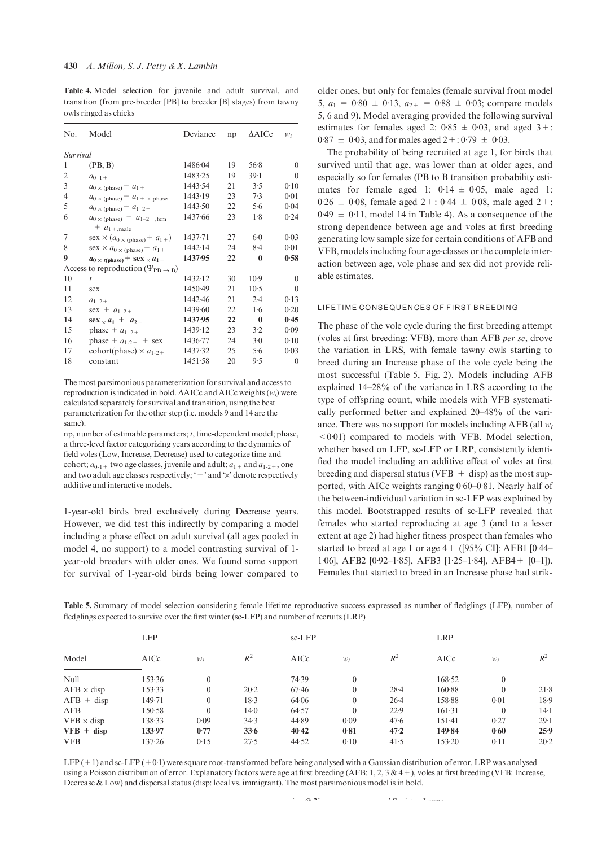Table 4. Model selection for juvenile and adult survival, and transition (from pre-breeder [PB] to breeder [B] stages) from tawny owls ringed as chicks

| No.      | Model                                                      | Deviance | np | $\triangle$ AICc | $W_i$    |
|----------|------------------------------------------------------------|----------|----|------------------|----------|
| Survival |                                                            |          |    |                  |          |
| 1        | (PB, B)                                                    | 1486.04  | 19 | 56.8             | $\Omega$ |
| 2        | $a_{0-1+}$                                                 | 1483.25  | 19 | $39-1$           | $\Omega$ |
| 3        | $a_0 \times \text{(phase)} + a_1 +$                        | 1443.54  | 21 | 3.5              | 0.10     |
| 4        | $a_0 \times (\text{phase}) + a_1 \times \text{phase}$      | 1443.19  | 23 | 7.3              | 0.01     |
| 5        | $a_{0}$ × (phase) + $a_{1-2+}$                             | 1443.50  | 22 | 5.6              | 0.04     |
| 6        | $a_0 \times \text{(phase)} + a_{1-2} + \text{,fem}$        | 1437.66  | 23 | 1.8              | 0.24     |
|          | $+ a_{1+,\text{male}}$                                     |          |    |                  |          |
| 7        | $\text{sex} \times (a_{0 \times \text{(phase)}} + a_{1+})$ | 1437.71  | 27 | $6-0$            | 0.03     |
| 8        | $\text{sex} \times a_{0 \times \text{(phase)}} + a_{1+}$   | 1442.14  | 24 | $8-4$            | 0.01     |
| 9        | $a_0 \times t(\text{phase})$ + sex $\times a_1$ +          | 1437.95  | 22 | $\bf{0}$         | 0.58     |
|          | Access to reproduction ( $\Psi_{PB} \rightarrow B$ )       |          |    |                  |          |
| 10       | t.                                                         | 1432.12  | 30 | $10-9$           | $\Omega$ |
| 11       | sex                                                        | 1450.49  | 21 | $10-5$           | $\Omega$ |
| 12       | $a_{1-2+}$                                                 | 1442.46  | 21 | 2.4              | 0.13     |
| 13       | $sex + a_{1-2+}$                                           | 1439.60  | 22 | 1.6              | 0.20     |
| 14       | $\text{sex}_{\times} a_1 + a_{2+}$                         | 1437.95  | 22 | $\bf{0}$         | 0.45     |
| 15       | phase + $a_{1-2+}$                                         | 1439.12  | 23 | 3.2              | 0.09     |
| 16       | phase + $a_{1-2+}$ + sex                                   | 1436.77  | 24 | $3-0$            | 0.10     |
| 17       | cohort(phase) $\times a_{1-2+}$                            | 1437.32  | 25 | 5.6              | 0.03     |
| 18       | constant                                                   | 1451.58  | 20 | 9.5              | $\theta$ |

The most parsimonious parameterization for survival and access to reproduction is indicated in bold.  $\triangle AICc$  and  $AICc$  weights  $(w_i)$  were calculated separately for survival and transition, using the best parameterization for the other step (i.e. models 9 and 14 are the same).

np, number of estimable parameters; t, time-dependent model; phase, a three-level factor categorizing years according to the dynamics of field voles (Low, Increase, Decrease) used to categorize time and cohort;  $a_{0-1+}$  two age classes, juvenile and adult;  $a_{1+}$  and  $a_{1-2+}$ , one and two adult age classes respectively; ' $+$ ' and ' $\times$ ' denote respectively additive and interactive models.

1-year-old birds bred exclusively during Decrease years. However, we did test this indirectly by comparing a model including a phase effect on adult survival (all ages pooled in model 4, no support) to a model contrasting survival of 1 year-old breeders with older ones. We found some support for survival of 1-year-old birds being lower compared to

older ones, but only for females (female survival from model 5,  $a_1 = 0.80 \pm 0.13$ ,  $a_{2+} = 0.88 \pm 0.03$ ; compare models 5, 6 and 9). Model averaging provided the following survival estimates for females aged 2:  $0.85 \pm 0.03$ , and aged 3+:  $0.87 \pm 0.03$ , and for males aged  $2 + 0.79 \pm 0.03$ .

The probability of being recruited at age 1, for birds that survived until that age, was lower than at older ages, and especially so for females (PB to B transition probability estimates for female aged 1:  $0.14 \pm 0.05$ , male aged 1:  $0.26 \pm 0.08$ , female aged  $2 + : 0.44 \pm 0.08$ , male aged  $2 + :$  $0.49 \pm 0.11$ , model 14 in Table 4). As a consequence of the strong dependence between age and voles at first breeding generating low sample size for certain conditions of AFB and VFB, models including four age-classes or the complete interaction between age, vole phase and sex did not provide reliable estimates.

#### LIFETIME CONSEQUENCES OF FIRST BREEDING

The phase of the vole cycle during the first breeding attempt (voles at first breeding: VFB), more than AFB per se, drove the variation in LRS, with female tawny owls starting to breed during an Increase phase of the vole cycle being the most successful (Table 5, Fig. 2). Models including AFB explained 14–28% of the variance in LRS according to the type of offspring count, while models with VFB systematically performed better and explained 20–48% of the variance. There was no support for models including AFB (all  $w_i$ )  $<0.01$ ) compared to models with VFB. Model selection, whether based on LFP, sc-LFP or LRP, consistently identified the model including an additive effect of voles at first breeding and dispersal status (VFB  $+$  disp) as the most supported, with AICc weights ranging  $0.60-0.81$ . Nearly half of the between-individual variation in sc-LFP was explained by this model. Bootstrapped results of sc-LFP revealed that females who started reproducing at age 3 (and to a lesser extent at age 2) had higher fitness prospect than females who started to breed at age 1 or age  $4 + (95\% \text{ CI})$ : AFB1 [0.44– 1 $06$ ], AFB2 [0 $92-1.85$ ], AFB3 [1 $25-1.84$ ], AFB4 + [0-1]). Females that started to breed in an Increase phase had strik-

Table 5. Summary of model selection considering female lifetime reproductive success expressed as number of fledglings (LFP), number of fledglings expected to survive over the first winter (sc-LFP) and number of recruits (LRP)

|                   | <b>LFP</b> |                  |       | $sc-LFP$ |          |          | <b>LRP</b> |          |        |
|-------------------|------------|------------------|-------|----------|----------|----------|------------|----------|--------|
| Model             | AICc       | $W_i$            | $R^2$ | AICc     | $W_i$    | $R^2$    | AICc       | $W_i$    | $R^2$  |
| Null              | 153.36     | $\boldsymbol{0}$ |       | 74.39    | $\theta$ |          | 168.52     | $\theta$ |        |
| $AFB \times disp$ | 153.33     | $\overline{0}$   | 20.2  | 67.46    | $\theta$ | $28 - 4$ | 160.88     | $\theta$ | 21.8   |
| $AFB + disp$      | 149.71     | $\boldsymbol{0}$ | 18.3  | 64.06    | $\theta$ | $26-4$   | 158.88     | 0.01     | 18.9   |
| AFB               | 150.58     | $\boldsymbol{0}$ | 14.0  | 64.57    | $\theta$ | 22.9     | 161.31     | $\theta$ | $14-1$ |
| $VFB \times disp$ | 138.33     | 0.09             | 34.3  | 44.89    | 0.09     | 47.6     | $151-41$   | 0.27     | 29.1   |
| $VFB + disp$      | 133.97     | 0.77             | 33.6  | 40.42    | 0.81     | 47.2     | 149.84     | 0.60     | 25.9   |
| <b>VFB</b>        | 137.26     | 0.15             | 27.5  | 44.52    | 0.10     | 41.5     | 153.20     | 0.11     | 20.2   |

 $LEP(+1)$  and sc-LFP  $(+0.1)$  were square root-transformed before being analysed with a Gaussian distribution of error. LRP was analysed using a Poisson distribution of error. Explanatory factors were age at first breeding (AFB: 1, 2, 3 & 4+), voles at first breeding (VFB: Increase, Decrease & Low) and dispersal status (disp: local vs. immigrant). The most parsimonious model is in bold.

> 2009 The Authors. Journal compilation -2009 British Ecological Society, Journal of Animal Ecology, 79, 426–435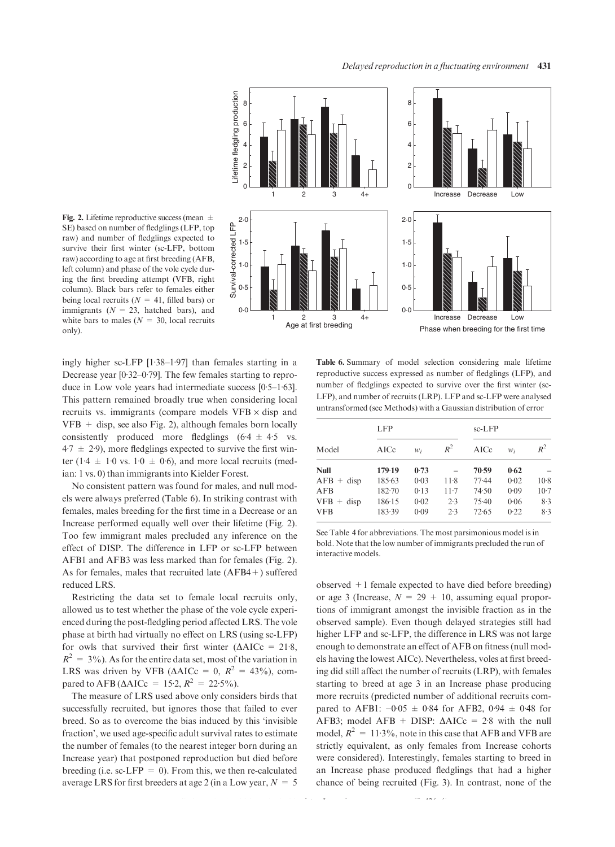Fig. 2. Lifetime reproductive success (mean  $\pm$ SE) based on number of fledglings (LFP, top raw) and number of fledglings expected to survive their first winter (sc-LFP, bottom raw) according to age at first breeding (AFB, left column) and phase of the vole cycle during the first breeding attempt (VFB, right column). Black bars refer to females either being local recruits ( $N = 41$ , filled bars) or immigrants ( $N = 23$ , hatched bars), and white bars to males ( $N = 30$ , local recruits only).



ingly higher sc-LFP  $[1.38-1.97]$  than females starting in a Decrease year  $[0.32-0.79]$ . The few females starting to reproduce in Low vole years had intermediate success  $[0.5-1.63]$ . This pattern remained broadly true when considering local recruits vs. immigrants (compare models  $VFB \times disp$  and  $VFB + disp$ , see also Fig. 2), although females born locally consistently produced more fledglings  $(6.4 \pm 4.5 \text{ vs.})$  $4.7 \pm 2.9$ ), more fledglings expected to survive the first winter (1.4  $\pm$  1.0 vs. 1.0  $\pm$  0.6), and more local recruits (median: 1 vs. 0) than immigrants into Kielder Forest.

No consistent pattern was found for males, and null models were always preferred (Table 6). In striking contrast with females, males breeding for the first time in a Decrease or an Increase performed equally well over their lifetime (Fig. 2). Too few immigrant males precluded any inference on the effect of DISP. The difference in LFP or sc-LFP between AFB1 and AFB3 was less marked than for females (Fig. 2). As for females, males that recruited late (AFB4+) suffered reduced LRS.

Restricting the data set to female local recruits only, allowed us to test whether the phase of the vole cycle experienced during the post-fledgling period affected LRS. The vole phase at birth had virtually no effect on LRS (using sc-LFP) for owls that survived their first winter  $(\Delta AICc = 21.8$ ,  $R^2 = 3\%$ ). As for the entire data set, most of the variation in LRS was driven by VFB ( $\triangle AICc = 0$ ,  $R^2 = 43\%$ ), compared to AFB ( $\triangle$ AICc = 15·2,  $R^2 = 22.5\%$ ).

The measure of LRS used above only considers birds that successfully recruited, but ignores those that failed to ever breed. So as to overcome the bias induced by this 'invisible fraction', we used age-specific adult survival rates to estimate the number of females (to the nearest integer born during an Increase year) that postponed reproduction but died before breeding (i.e. sc-LFP =  $0$ ). From this, we then re-calculated average LRS for first breeders at age 2 (in a Low year,  $N = 5$ )

Table 6. Summary of model selection considering male lifetime reproductive success expressed as number of fledglings (LFP), and number of fledglings expected to survive over the first winter (sc-LFP), and number of recruits (LRP). LFP and sc-LFP were analysed untransformed (see Methods) with a Gaussian distribution of error

|              | <b>LFP</b> |       |        | $sc-LFP$ |       |        |
|--------------|------------|-------|--------|----------|-------|--------|
| Model        | AICc       | $W_i$ | $R^2$  | AICc     | $W_i$ | $R^2$  |
| <b>Null</b>  | 179.19     | 0.73  |        | 70.59    | 0.62  |        |
| $AFB + disp$ | 185.63     | 0.03  | $11-8$ | 77.44    | 0.02  | $10-8$ |
| AFB          | $182 - 70$ | 0.13  | $11-7$ | 74.50    | 0.09  | $10-7$ |
| $VFB + disp$ | 186.15     | 0.02  | 2.3    | $75-40$  | 0.06  | 8.3    |
| <b>VFB</b>   | 183.39     | 0.09  | 2.3    | 72.65    | 0.22  | 8.3    |

See Table 4 for abbreviations. The most parsimonious model is in bold. Note that the low number of immigrants precluded the run of interactive models.

observed +1 female expected to have died before breeding) or age 3 (Increase,  $N = 29 + 10$ , assuming equal proportions of immigrant amongst the invisible fraction as in the observed sample). Even though delayed strategies still had higher LFP and sc-LFP, the difference in LRS was not large enough to demonstrate an effect of AFB on fitness (null models having the lowest AICc). Nevertheless, voles at first breeding did still affect the number of recruits (LRP), with females starting to breed at age 3 in an Increase phase producing more recruits (predicted number of additional recruits compared to AFB1:  $-0.05 \pm 0.84$  for AFB2, 0.94  $\pm$  0.48 for AFB3; model AFB + DISP:  $\triangle$ AICc = 2.8 with the null model,  $R^2 = 11.3\%$ , note in this case that AFB and VFB are strictly equivalent, as only females from Increase cohorts were considered). Interestingly, females starting to breed in an Increase phase produced fledglings that had a higher chance of being recruited (Fig. 3). In contrast, none of the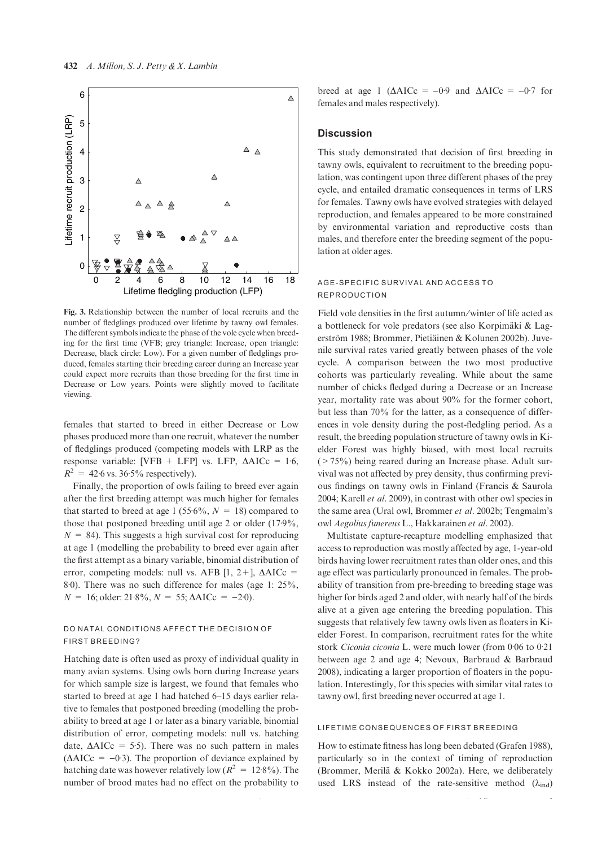

Fig. 3. Relationship between the number of local recruits and the number of fledglings produced over lifetime by tawny owl females. The different symbols indicate the phase of the vole cycle when breeding for the first time (VFB; grey triangle: Increase, open triangle: Decrease, black circle: Low). For a given number of fledglings produced, females starting their breeding career during an Increase year could expect more recruits than those breeding for the first time in Decrease or Low years. Points were slightly moved to facilitate viewing.

females that started to breed in either Decrease or Low phases produced more than one recruit, whatever the number of fledglings produced (competing models with LRP as the response variable: [VFB + LFP] vs. LFP,  $\triangle AICc = 1.6$ ,  $R^2 = 42.6$  vs. 36.5% respectively).

Finally, the proportion of owls failing to breed ever again after the first breeding attempt was much higher for females that started to breed at age 1 (55.6%,  $N = 18$ ) compared to those that postponed breeding until age 2 or older  $(17.9\%,$  $N = 84$ ). This suggests a high survival cost for reproducing at age 1 (modelling the probability to breed ever again after the first attempt as a binary variable, binomial distribution of error, competing models: null vs. AFB [1, 2+],  $\triangle$ AICc = 8<sup>.</sup>0). There was no such difference for males (age 1: 25%,  $N = 16$ ; older: 21.8%,  $N = 55$ ;  $\triangle$ AICc = -2.0).

#### DO NATAL CONDITIONS AFFECT THE DECISION OF FIRST BREEDING?

Hatching date is often used as proxy of individual quality in many avian systems. Using owls born during Increase years for which sample size is largest, we found that females who started to breed at age 1 had hatched 6–15 days earlier relative to females that postponed breeding (modelling the probability to breed at age 1 or later as a binary variable, binomial distribution of error, competing models: null vs. hatching date,  $\triangle AICc = 5.5$ . There was no such pattern in males  $(\Delta AICc = -0.3)$ . The proportion of deviance explained by hatching date was however relatively low  $(R^2 = 12.8\%)$ . The number of brood mates had no effect on the probability to breed at age 1 ( $\triangle AICc = -0.9$  and  $\triangle AICc = -0.7$  for females and males respectively).

#### **Discussion**

This study demonstrated that decision of first breeding in tawny owls, equivalent to recruitment to the breeding population, was contingent upon three different phases of the prey cycle, and entailed dramatic consequences in terms of LRS for females. Tawny owls have evolved strategies with delayed reproduction, and females appeared to be more constrained by environmental variation and reproductive costs than males, and therefore enter the breeding segment of the population at older ages.

#### AGE-SPECIFIC SURVIVAL AND ACCESS TO REPRODUCTION

Field vole densities in the first autumn/winter of life acted as a bottleneck for vole predators (see also Korpimäki & Lagerström 1988; Brommer, Pietiäinen & Kolunen 2002b). Juvenile survival rates varied greatly between phases of the vole cycle. A comparison between the two most productive cohorts was particularly revealing. While about the same number of chicks fledged during a Decrease or an Increase year, mortality rate was about 90% for the former cohort, but less than 70% for the latter, as a consequence of differences in vole density during the post-fledgling period. As a result, the breeding population structure of tawny owls in Kielder Forest was highly biased, with most local recruits  $($  > 75%) being reared during an Increase phase. Adult survival was not affected by prey density, thus confirming previous findings on tawny owls in Finland (Francis & Saurola 2004; Karell et al. 2009), in contrast with other owl species in the same area (Ural owl, Brommer et al. 2002b; Tengmalm's owl Aegolius funereus L., Hakkarainen et al. 2002).

Multistate capture-recapture modelling emphasized that access to reproduction was mostly affected by age, 1-year-old birds having lower recruitment rates than older ones, and this age effect was particularly pronounced in females. The probability of transition from pre-breeding to breeding stage was higher for birds aged 2 and older, with nearly half of the birds alive at a given age entering the breeding population. This suggests that relatively few tawny owls liven as floaters in Kielder Forest. In comparison, recruitment rates for the white stork Ciconia ciconia L. were much lower (from 0.06 to 0.21 between age 2 and age 4; Nevoux, Barbraud & Barbraud 2008), indicating a larger proportion of floaters in the population. Interestingly, for this species with similar vital rates to tawny owl, first breeding never occurred at age 1.

#### LIFETIME CONSEQUENCES OF FIRST BREEDING

How to estimate fitness has long been debated (Grafen 1988), particularly so in the context of timing of reproduction (Brommer, Merilä & Kokko 2002a). Here, we deliberately used LRS instead of the rate-sensitive method  $(\lambda_{ind})$ 

2009 British Ecological Society, Journal of Animal Ecology, 79, 426–435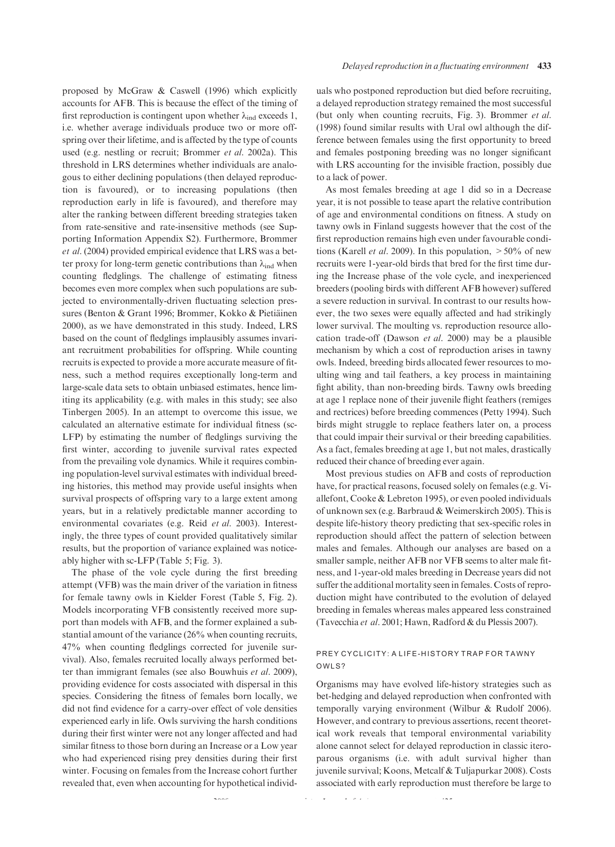proposed by McGraw & Caswell (1996) which explicitly accounts for AFB. This is because the effect of the timing of first reproduction is contingent upon whether  $\lambda_{ind}$  exceeds 1, i.e. whether average individuals produce two or more offspring over their lifetime, and is affected by the type of counts used (e.g. nestling or recruit; Brommer et al. 2002a). This threshold in LRS determines whether individuals are analogous to either declining populations (then delayed reproduction is favoured), or to increasing populations (then reproduction early in life is favoured), and therefore may alter the ranking between different breeding strategies taken from rate-sensitive and rate-insensitive methods (see Supporting Information Appendix S2). Furthermore, Brommer et al. (2004) provided empirical evidence that LRS was a better proxy for long-term genetic contributions than  $\lambda_{ind}$  when counting fledglings. The challenge of estimating fitness becomes even more complex when such populations are subjected to environmentally-driven fluctuating selection pressures (Benton & Grant 1996; Brommer, Kokko & Pietiäinen 2000), as we have demonstrated in this study. Indeed, LRS based on the count of fledglings implausibly assumes invariant recruitment probabilities for offspring. While counting recruits is expected to provide a more accurate measure of fitness, such a method requires exceptionally long-term and large-scale data sets to obtain unbiased estimates, hence limiting its applicability (e.g. with males in this study; see also Tinbergen 2005). In an attempt to overcome this issue, we calculated an alternative estimate for individual fitness (sc-LFP) by estimating the number of fledglings surviving the first winter, according to juvenile survival rates expected from the prevailing vole dynamics. While it requires combining population-level survival estimates with individual breeding histories, this method may provide useful insights when survival prospects of offspring vary to a large extent among years, but in a relatively predictable manner according to environmental covariates (e.g. Reid et al. 2003). Interestingly, the three types of count provided qualitatively similar results, but the proportion of variance explained was noticeably higher with sc-LFP (Table 5; Fig. 3).

The phase of the vole cycle during the first breeding attempt (VFB) was the main driver of the variation in fitness for female tawny owls in Kielder Forest (Table 5, Fig. 2). Models incorporating VFB consistently received more support than models with AFB, and the former explained a substantial amount of the variance (26% when counting recruits, 47% when counting fledglings corrected for juvenile survival). Also, females recruited locally always performed better than immigrant females (see also Bouwhuis et al. 2009), providing evidence for costs associated with dispersal in this species. Considering the fitness of females born locally, we did not find evidence for a carry-over effect of vole densities experienced early in life. Owls surviving the harsh conditions during their first winter were not any longer affected and had similar fitness to those born during an Increase or a Low year who had experienced rising prey densities during their first winter. Focusing on females from the Increase cohort further revealed that, even when accounting for hypothetical individuals who postponed reproduction but died before recruiting, a delayed reproduction strategy remained the most successful (but only when counting recruits, Fig. 3). Brommer et al. (1998) found similar results with Ural owl although the difference between females using the first opportunity to breed and females postponing breeding was no longer significant with LRS accounting for the invisible fraction, possibly due to a lack of power.

As most females breeding at age 1 did so in a Decrease year, it is not possible to tease apart the relative contribution of age and environmental conditions on fitness. A study on tawny owls in Finland suggests however that the cost of the first reproduction remains high even under favourable conditions (Karell *et al.* 2009). In this population,  $>50\%$  of new recruits were 1-year-old birds that bred for the first time during the Increase phase of the vole cycle, and inexperienced breeders (pooling birds with different AFB however) suffered a severe reduction in survival. In contrast to our results however, the two sexes were equally affected and had strikingly lower survival. The moulting vs. reproduction resource allocation trade-off (Dawson et al. 2000) may be a plausible mechanism by which a cost of reproduction arises in tawny owls. Indeed, breeding birds allocated fewer resources to moulting wing and tail feathers, a key process in maintaining fight ability, than non-breeding birds. Tawny owls breeding at age 1 replace none of their juvenile flight feathers (remiges and rectrices) before breeding commences (Petty 1994). Such birds might struggle to replace feathers later on, a process that could impair their survival or their breeding capabilities. As a fact, females breeding at age 1, but not males, drastically reduced their chance of breeding ever again.

Most previous studies on AFB and costs of reproduction have, for practical reasons, focused solely on females (e.g. Viallefont, Cooke & Lebreton 1995), or even pooled individuals of unknown sex (e.g. Barbraud & Weimerskirch 2005). This is despite life-history theory predicting that sex-specific roles in reproduction should affect the pattern of selection between males and females. Although our analyses are based on a smaller sample, neither AFB nor VFB seems to alter male fitness, and 1-year-old males breeding in Decrease years did not suffer the additional mortality seen in females. Costs of reproduction might have contributed to the evolution of delayed breeding in females whereas males appeared less constrained (Tavecchia et al. 2001; Hawn, Radford & du Plessis 2007).

#### PREY CYCLICITY: A LIFE-HISTORY TRAP FOR TAWNY OWLS?

Organisms may have evolved life-history strategies such as bet-hedging and delayed reproduction when confronted with temporally varying environment (Wilbur & Rudolf 2006). However, and contrary to previous assertions, recent theoretical work reveals that temporal environmental variability alone cannot select for delayed reproduction in classic iteroparous organisms (i.e. with adult survival higher than juvenile survival; Koons, Metcalf & Tuljapurkar 2008). Costs associated with early reproduction must therefore be large to

2009 British Ecological Society, Journal of Animal Ecology, 79, 426–435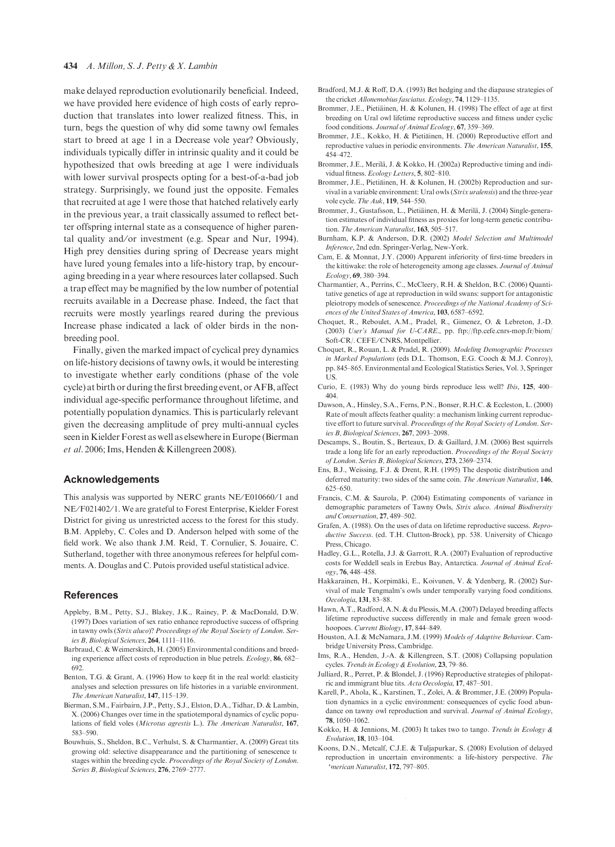#### 434 A. Millon, S. J. Petty & X. Lambin

make delayed reproduction evolutionarily beneficial. Indeed, we have provided here evidence of high costs of early reproduction that translates into lower realized fitness. This, in turn, begs the question of why did some tawny owl females start to breed at age 1 in a Decrease vole year? Obviously, individuals typically differ in intrinsic quality and it could be hypothesized that owls breeding at age 1 were individuals with lower survival prospects opting for a best-of-a-bad job strategy. Surprisingly, we found just the opposite. Females that recruited at age 1 were those that hatched relatively early in the previous year, a trait classically assumed to reflect better offspring internal state as a consequence of higher parental quality and/or investment (e.g. Spear and Nur, 1994). High prey densities during spring of Decrease years might have lured young females into a life-history trap, by encouraging breeding in a year where resources later collapsed. Such a trap effect may be magnified by the low number of potential recruits available in a Decrease phase. Indeed, the fact that recruits were mostly yearlings reared during the previous Increase phase indicated a lack of older birds in the nonbreeding pool.

Finally, given the marked impact of cyclical prey dynamics on life-history decisions of tawny owls, it would be interesting to investigate whether early conditions (phase of the vole cycle) at birth or during the first breeding event, or AFB, affect individual age-specific performance throughout lifetime, and potentially population dynamics. This is particularly relevant given the decreasing amplitude of prey multi-annual cycles seen in Kielder Forest as well as elsewhere in Europe (Bierman et al. 2006; Ims, Henden & Killengreen 2008).

#### Acknowledgements

This analysis was supported by NERC grants NE/E010660/1 and NE/F021402/1. We are grateful to Forest Enterprise, Kielder Forest District for giving us unrestricted access to the forest for this study. B.M. Appleby, C. Coles and D. Anderson helped with some of the field work. We also thank J.M. Reid, T. Cornulier, S. Jouaire, C. Sutherland, together with three anonymous referees for helpful comments. A. Douglas and C. Putois provided useful statistical advice.

#### References

- Appleby, B.M., Petty, S.J., Blakey, J.K., Rainey, P. & MacDonald, D.W. (1997) Does variation of sex ratio enhance reproductive success of offspring in tawny owls (Strix aluco)? Proceedings of the Royal Society of London. Series B, Biological Sciences, 264, 1111–1116.
- Barbraud, C. & Weimerskirch, H. (2005) Environmental conditions and breeding experience affect costs of reproduction in blue petrels. *Ecology*, 86, 682– 692.
- Benton, T.G. & Grant, A. (1996) How to keep fit in the real world: elasticity analyses and selection pressures on life histories in a variable environment. The American Naturalist, 147, 115–139.
- Bierman, S.M., Fairbairn, J.P., Petty, S.J., Elston, D.A., Tidhar, D. & Lambin, X. (2006) Changes over time in the spatiotemporal dynamics of cyclic populations of field voles (Microtus agrestis L.). The American Naturalist, 167, 583–590.
- Bouwhuis, S., Sheldon, B.C., Verhulst, S. & Charmantier, A. (2009) Great tits growing old: selective disappearance and the partitioning of senescence to stages within the breeding cycle. Proceedings of the Royal Society of London. Series B, Biological Sciences, 276, 2769-2777.
- Bradford, M.J. & Roff, D.A. (1993) Bet hedging and the diapause strategies of the cricket Allonemobius fasciatus. Ecology, 74, 1129–1135.
- Brommer, J.E., Pietiäinen, H. & Kolunen, H. (1998) The effect of age at first breeding on Ural owl lifetime reproductive success and fitness under cyclic food conditions. Journal of Animal Ecology, 67, 359–369.
- Brommer, J.E., Kokko, H. & Pietiäinen, H. (2000) Reproductive effort and reproductive values in periodic environments. The American Naturalist, 155, 454–472.
- Brommer, J.E., Merilä, J. & Kokko, H. (2002a) Reproductive timing and individual fitness. Ecology Letters, 5, 802–810.
- Brommer, J.E., Pietiäinen, H. & Kolunen, H. (2002b) Reproduction and survival in a variable environment: Ural owls (Strix uralensis) and the three-year vole cycle. The Auk, 119, 544–550.
- Brommer, J., Gustafsson, L., Pietiäinen, H. & Merilä, J. (2004) Single-generation estimates of individual fitness as proxies for long-term genetic contribution. The American Naturalist, 163, 505–517.
- Burnham, K.P. & Anderson, D.R. (2002) Model Selection and Multimodel Inference, 2nd edn. Springer-Verlag, New-York.
- Cam, E. & Monnat, J.Y. (2000) Apparent inferiority of first-time breeders in the kittiwake: the role of heterogeneity among age classes. Journal of Animal Ecology, 69, 380–394.
- Charmantier, A., Perrins, C., McCleery, R.H. & Sheldon, B.C. (2006) Quantitative genetics of age at reproduction in wild swans: support for antagonistic pleiotropy models of senescence. Proceedings of the National Academy of Sciences of the United States of America, 103, 6587–6592.
- Choquet, R., Reboulet, A.M., Pradel, R., Gimenez, O. & Lebreton, J.-D. (2003) User's Manual for U-CARE., pp. ftp://ftp.cefe.cnrs-mop.fr/biom/ Soft-CR/. CEFE/CNRS, Montpellier.
- Choquet, R., Rouan, L. & Pradel, R. (2009). Modeling Demographic Processes in Marked Populations (eds D.L. Thomson, E.G. Cooch & M.J. Conroy), pp. 845–865. Environmental and Ecological Statistics Series, Vol. 3, Springer US.
- Curio, E. (1983) Why do young birds reproduce less well? Ibis, 125, 400– 404.
- Dawson, A., Hinsley, S.A., Ferns, P.N., Bonser, R.H.C. & Eccleston, L. (2000) Rate of moult affects feather quality: a mechanism linking current reproductive effort to future survival. Proceedings of the Royal Society of London. Series B, Biological Sciences, 267, 2093–2098.
- Descamps, S., Boutin, S., Berteaux, D. & Gaillard, J.M. (2006) Best squirrels trade a long life for an early reproduction. Proceedings of the Royal Society of London. Series B, Biological Sciences, 273, 2369–2374.
- Ens, B.J., Weissing, F.J. & Drent, R.H. (1995) The despotic distribution and deferred maturity: two sides of the same coin. The American Naturalist, 146, 625–650.
- Francis, C.M. & Saurola, P. (2004) Estimating components of variance in demographic parameters of Tawny Owls, Strix aluco. Animal Biodiversity and Conservation, 27, 489–502.
- Grafen, A. (1988). On the uses of data on lifetime reproductive success. Reproductive Success. (ed. T.H. Clutton-Brock), pp. 538. University of Chicago Press, Chicago.
- Hadley, G.L., Rotella, J.J. & Garrott, R.A. (2007) Evaluation of reproductive costs for Weddell seals in Erebus Bay, Antarctica. Journal of Animal Ecology, 76, 448–458.
- Hakkarainen, H., Korpimäki, E., Koivunen, V. & Ydenberg, R. (2002) Survival of male Tengmalm's owls under temporally varying food conditions. Oecologia, 131, 83–88.
- Hawn, A.T., Radford, A.N. & du Plessis, M.A. (2007) Delayed breeding affects lifetime reproductive success differently in male and female green woodhoopoes. Current Biology, 17, 844-849.
- Houston, A.I. & McNamara, J.M. (1999) Models of Adaptive Behaviour. Cambridge University Press, Cambridge.
- Ims, R.A., Henden, J.-A. & Killengreen, S.T. (2008) Collapsing population cycles. Trends in Ecology & Evolution, 23, 79–86.
- Julliard, R., Perret, P. & Blondel, J. (1996) Reproductive strategies of philopatric and immigrant blue tits. Acta Oecologia, 17, 487–501.
- Karell, P., Ahola, K., Karstinen, T., Zolei, A. & Brommer, J.E. (2009) Population dynamics in a cyclic environment: consequences of cyclic food abundance on tawny owl reproduction and survival. Journal of Animal Ecology, 78, 1050–1062.
- Kokko, H. & Jennions, M. (2003) It takes two to tango. Trends in Ecology & Evolution, 18, 103–104.
- Koons, D.N., Metcalf, C.J.E. & Tuljapurkar, S. (2008) Evolution of delayed reproduction in uncertain environments: a life-history perspective. The merican Naturalist, 172, 797-805.